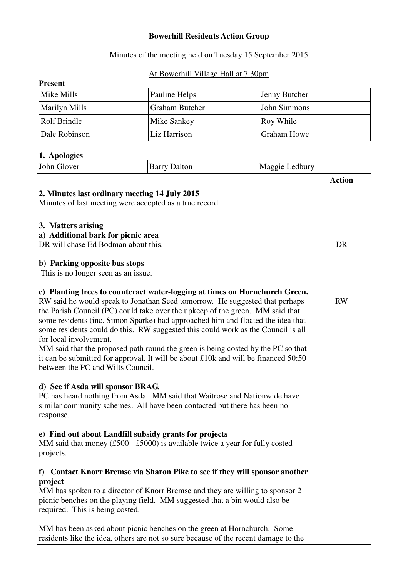## **Bowerhill Residents Action Group**

#### Minutes of the meeting held on Tuesday 15 September 2015

## At Bowerhill Village Hall at 7.30pm

| <b>Present</b>       |                       |                    |  |  |
|----------------------|-----------------------|--------------------|--|--|
| Mike Mills           | Pauline Helps         | Jenny Butcher      |  |  |
| <b>Marilyn Mills</b> | <b>Graham Butcher</b> | John Simmons       |  |  |
| Rolf Brindle         | Mike Sankey           | Roy While          |  |  |
| Dale Robinson        | Liz Harrison          | <b>Graham Howe</b> |  |  |

#### **1. Apologies**

| John Glover                                                                                                                                                                                                                                                                                                                                                                                                                                                                                                                                                                                                                                                 | <b>Barry Dalton</b>                                                                                                                                            | Maggie Ledbury |               |
|-------------------------------------------------------------------------------------------------------------------------------------------------------------------------------------------------------------------------------------------------------------------------------------------------------------------------------------------------------------------------------------------------------------------------------------------------------------------------------------------------------------------------------------------------------------------------------------------------------------------------------------------------------------|----------------------------------------------------------------------------------------------------------------------------------------------------------------|----------------|---------------|
|                                                                                                                                                                                                                                                                                                                                                                                                                                                                                                                                                                                                                                                             |                                                                                                                                                                |                | <b>Action</b> |
|                                                                                                                                                                                                                                                                                                                                                                                                                                                                                                                                                                                                                                                             | 2. Minutes last ordinary meeting 14 July 2015<br>Minutes of last meeting were accepted as a true record                                                        |                |               |
| 3. Matters arising<br>a) Additional bark for picnic area                                                                                                                                                                                                                                                                                                                                                                                                                                                                                                                                                                                                    |                                                                                                                                                                |                |               |
| DR will chase Ed Bodman about this.                                                                                                                                                                                                                                                                                                                                                                                                                                                                                                                                                                                                                         |                                                                                                                                                                |                | DR            |
| b) Parking opposite bus stops<br>This is no longer seen as an issue.                                                                                                                                                                                                                                                                                                                                                                                                                                                                                                                                                                                        |                                                                                                                                                                |                |               |
| c) Planting trees to counteract water-logging at times on Hornchurch Green.<br>RW said he would speak to Jonathan Seed tomorrow. He suggested that perhaps<br>the Parish Council (PC) could take over the upkeep of the green. MM said that<br>some residents (inc. Simon Sparke) had approached him and floated the idea that<br>some residents could do this. RW suggested this could work as the Council is all<br>for local involvement.<br>MM said that the proposed path round the green is being costed by the PC so that<br>it can be submitted for approval. It will be about £10k and will be financed 50:50<br>between the PC and Wilts Council. |                                                                                                                                                                | <b>RW</b>      |               |
| d) See if Asda will sponsor BRAG.<br>response.                                                                                                                                                                                                                                                                                                                                                                                                                                                                                                                                                                                                              | PC has heard nothing from Asda. MM said that Waitrose and Nationwide have<br>similar community schemes. All have been contacted but there has been no          |                |               |
| projects.                                                                                                                                                                                                                                                                                                                                                                                                                                                                                                                                                                                                                                                   | e) Find out about Landfill subsidy grants for projects<br>MM said that money (£500 - £5000) is available twice a year for fully costed                         |                |               |
|                                                                                                                                                                                                                                                                                                                                                                                                                                                                                                                                                                                                                                                             | f) Contact Knorr Bremse via Sharon Pike to see if they will sponsor another                                                                                    |                |               |
| project<br>required. This is being costed.                                                                                                                                                                                                                                                                                                                                                                                                                                                                                                                                                                                                                  | MM has spoken to a director of Knorr Bremse and they are willing to sponsor 2<br>picnic benches on the playing field. MM suggested that a bin would also be    |                |               |
|                                                                                                                                                                                                                                                                                                                                                                                                                                                                                                                                                                                                                                                             | MM has been asked about picnic benches on the green at Hornchurch. Some<br>residents like the idea, others are not so sure because of the recent damage to the |                |               |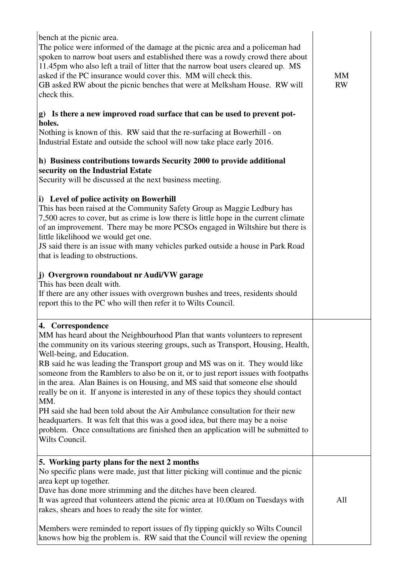| bench at the picnic area.<br>The police were informed of the damage at the picnic area and a policeman had<br>spoken to narrow boat users and established there was a rowdy crowd there about<br>11.45pm who also left a trail of litter that the narrow boat users cleared up. MS<br>asked if the PC insurance would cover this. MM will check this.<br>GB asked RW about the picnic benches that were at Melksham House. RW will<br>check this.<br>g) Is there a new improved road surface that can be used to prevent pot-<br>holes.<br>Nothing is known of this. RW said that the re-surfacing at Bowerhill - on<br>Industrial Estate and outside the school will now take place early 2016.<br>h) Business contributions towards Security 2000 to provide additional<br>security on the Industrial Estate<br>Security will be discussed at the next business meeting.<br>i) Level of police activity on Bowerhill<br>This has been raised at the Community Safety Group as Maggie Ledbury has<br>7,500 acres to cover, but as crime is low there is little hope in the current climate<br>of an improvement. There may be more PCSOs engaged in Wiltshire but there is<br>little likelihood we would get one.<br>JS said there is an issue with many vehicles parked outside a house in Park Road<br>that is leading to obstructions.<br>j) Overgrown roundabout nr Audi/VW garage<br>This has been dealt with.<br>If there are any other issues with overgrown bushes and trees, residents should<br>report this to the PC who will then refer it to Wilts Council. | <b>MM</b><br><b>RW</b> |
|---------------------------------------------------------------------------------------------------------------------------------------------------------------------------------------------------------------------------------------------------------------------------------------------------------------------------------------------------------------------------------------------------------------------------------------------------------------------------------------------------------------------------------------------------------------------------------------------------------------------------------------------------------------------------------------------------------------------------------------------------------------------------------------------------------------------------------------------------------------------------------------------------------------------------------------------------------------------------------------------------------------------------------------------------------------------------------------------------------------------------------------------------------------------------------------------------------------------------------------------------------------------------------------------------------------------------------------------------------------------------------------------------------------------------------------------------------------------------------------------------------------------------------------------------------------------------|------------------------|
| 4. Correspondence<br>MM has heard about the Neighbourhood Plan that wants volunteers to represent<br>the community on its various steering groups, such as Transport, Housing, Health,<br>Well-being, and Education.<br>RB said he was leading the Transport group and MS was on it. They would like<br>someone from the Ramblers to also be on it, or to just report issues with footpaths<br>in the area. Alan Baines is on Housing, and MS said that someone else should<br>really be on it. If anyone is interested in any of these topics they should contact<br>MM.<br>PH said she had been told about the Air Ambulance consultation for their new<br>headquarters. It was felt that this was a good idea, but there may be a noise<br>problem. Once consultations are finished then an application will be submitted to<br>Wilts Council.                                                                                                                                                                                                                                                                                                                                                                                                                                                                                                                                                                                                                                                                                                                         |                        |
| 5. Working party plans for the next 2 months<br>No specific plans were made, just that litter picking will continue and the picnic<br>area kept up together.<br>Dave has done more strimming and the ditches have been cleared.<br>It was agreed that volunteers attend the picnic area at 10.00am on Tuesdays with<br>rakes, shears and hoes to ready the site for winter.<br>Members were reminded to report issues of fly tipping quickly so Wilts Council<br>knows how big the problem is. RW said that the Council will review the opening                                                                                                                                                                                                                                                                                                                                                                                                                                                                                                                                                                                                                                                                                                                                                                                                                                                                                                                                                                                                                           | All                    |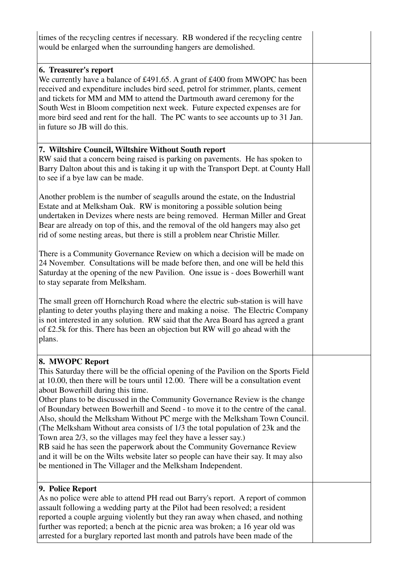| times of the recycling centres if necessary. RB wondered if the recycling centre<br>would be enlarged when the surrounding hangers are demolished.                                                                                                                                                                                                                                                                                                                                                                                                                                                                                                                                                                                                                                                                                                                         |  |
|----------------------------------------------------------------------------------------------------------------------------------------------------------------------------------------------------------------------------------------------------------------------------------------------------------------------------------------------------------------------------------------------------------------------------------------------------------------------------------------------------------------------------------------------------------------------------------------------------------------------------------------------------------------------------------------------------------------------------------------------------------------------------------------------------------------------------------------------------------------------------|--|
| 6. Treasurer's report<br>We currently have a balance of £491.65. A grant of £400 from MWOPC has been<br>received and expenditure includes bird seed, petrol for strimmer, plants, cement<br>and tickets for MM and MM to attend the Dartmouth award ceremony for the<br>South West in Bloom competition next week. Future expected expenses are for<br>more bird seed and rent for the hall. The PC wants to see accounts up to 31 Jan.<br>in future so JB will do this.                                                                                                                                                                                                                                                                                                                                                                                                   |  |
| 7. Wiltshire Council, Wiltshire Without South report<br>RW said that a concern being raised is parking on pavements. He has spoken to<br>Barry Dalton about this and is taking it up with the Transport Dept. at County Hall<br>to see if a bye law can be made.                                                                                                                                                                                                                                                                                                                                                                                                                                                                                                                                                                                                           |  |
| Another problem is the number of seagulls around the estate, on the Industrial<br>Estate and at Melksham Oak. RW is monitoring a possible solution being<br>undertaken in Devizes where nests are being removed. Herman Miller and Great<br>Bear are already on top of this, and the removal of the old hangers may also get<br>rid of some nesting areas, but there is still a problem near Christie Miller.                                                                                                                                                                                                                                                                                                                                                                                                                                                              |  |
| There is a Community Governance Review on which a decision will be made on<br>24 November. Consultations will be made before then, and one will be held this<br>Saturday at the opening of the new Pavilion. One issue is - does Bowerhill want<br>to stay separate from Melksham.                                                                                                                                                                                                                                                                                                                                                                                                                                                                                                                                                                                         |  |
| The small green off Hornchurch Road where the electric sub-station is will have<br>planting to deter youths playing there and making a noise. The Electric Company<br>is not interested in any solution. RW said that the Area Board has agreed a grant<br>of £2.5k for this. There has been an objection but RW will go ahead with the<br>plans.                                                                                                                                                                                                                                                                                                                                                                                                                                                                                                                          |  |
| 8. MWOPC Report<br>This Saturday there will be the official opening of the Pavilion on the Sports Field<br>at 10.00, then there will be tours until 12.00. There will be a consultation event<br>about Bowerhill during this time.<br>Other plans to be discussed in the Community Governance Review is the change<br>of Boundary between Bowerhill and Seend - to move it to the centre of the canal.<br>Also, should the Melksham Without PC merge with the Melksham Town Council.<br>(The Melksham Without area consists of 1/3 the total population of 23k and the<br>Town area 2/3, so the villages may feel they have a lesser say.)<br>RB said he has seen the paperwork about the Community Governance Review<br>and it will be on the Wilts website later so people can have their say. It may also<br>be mentioned in The Villager and the Melksham Independent. |  |
| 9. Police Report<br>As no police were able to attend PH read out Barry's report. A report of common<br>assault following a wedding party at the Pilot had been resolved; a resident<br>reported a couple arguing violently but they ran away when chased, and nothing<br>further was reported; a bench at the picnic area was broken; a 16 year old was<br>arrested for a burglary reported last month and patrols have been made of the                                                                                                                                                                                                                                                                                                                                                                                                                                   |  |